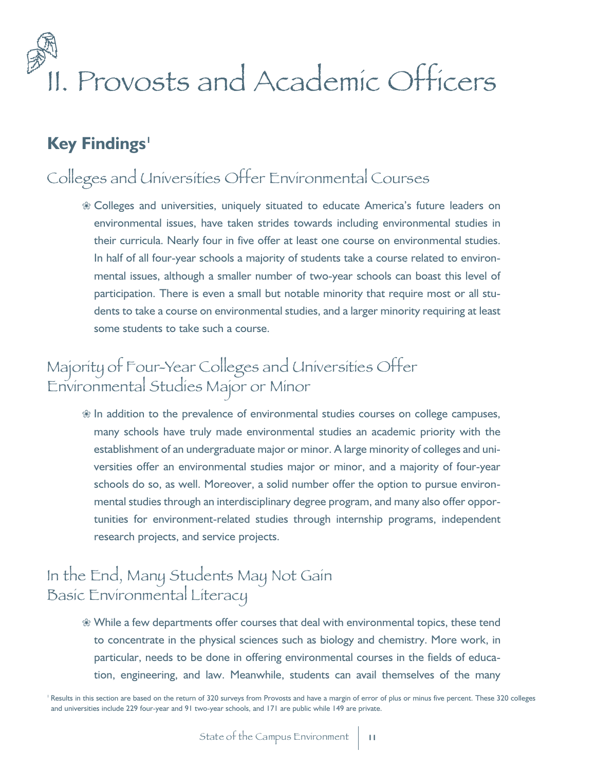# II. Provosts and Academic Officers

## **Key Findings<sup>1</sup>**

## Colleges and Universities Offer Environmental Courses

 $%$  Colleges and universities, uniquely situated to educate America's future leaders on environmental issues, have taken strides towards including environmental studies in their curricula. Nearly four in five offer at least one course on environmental studies. In half of all four-year schools a majority of students take a course related to environmental issues, although a smaller number of two-year schools can boast this level of participation. There is even a small but notable minority that require most or all students to take a course on environmental studies, and a larger minority requiring at least some students to take such a course.

## Majority of Four-Year Colleges and Universities Offer Environmental Studies Major or Minor

 $\mathcal X$  In addition to the prevalence of environmental studies courses on college campuses, many schools have truly made environmental studies an academic priority with the establishment of an undergraduate major or minor. A large minority of colleges and universities offer an environmental studies major or minor, and a majority of four-year schools do so, as well. Moreover, a solid number offer the option to pursue environmental studies through an interdisciplinary degree program, and many also offer opportunities for environment-related studies through internship programs, independent research projects, and service projects.

## In the End, Many Students May Not Gain Basic Environmental Literacy

 $%$  While a few departments offer courses that deal with environmental topics, these tend to concentrate in the physical sciences such as biology and chemistry. More work, in particular, needs to be done in offering environmental courses in the fields of education, engineering, and law. Meanwhile, students can avail themselves of the many

<sup>1</sup> Results in this section are based on the return of 320 surveys from Provosts and have a margin of error of plus or minus five percent. These 320 colleges and universities include 229 four-year and 91 two-year schools, and 171 are public while 149 are private.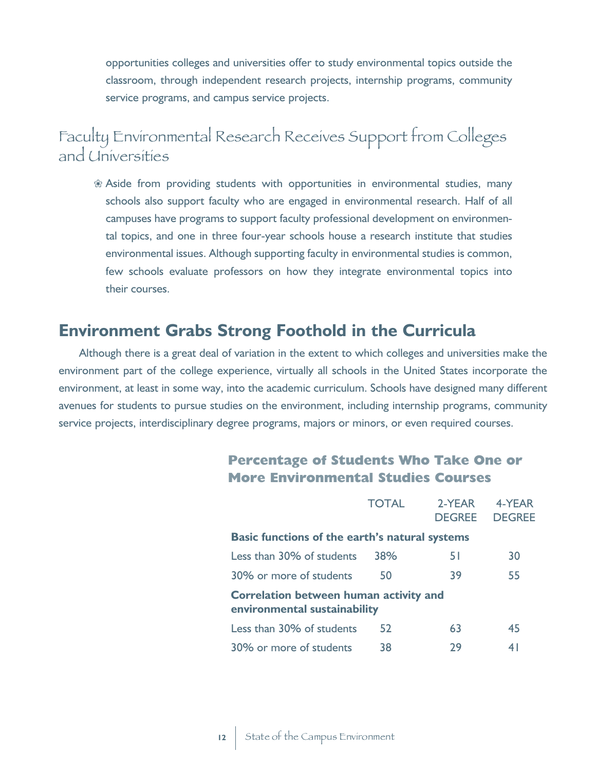opportunities colleges and universities offer to study environmental topics outside the classroom, through independent research projects, internship programs, community service programs, and campus service projects.

## Faculty Environmental Research Receives Support from Colleges and Universities

 $%$  Aside from providing students with opportunities in environmental studies, many schools also support faculty who are engaged in environmental research. Half of all campuses have programs to support faculty professional development on environmental topics, and one in three four-year schools house a research institute that studies environmental issues. Although supporting faculty in environmental studies is common, few schools evaluate professors on how they integrate environmental topics into their courses.

### **Environment Grabs Strong Foothold in the Curricula**

Although there is a great deal of variation in the extent to which colleges and universities make the environment part of the college experience, virtually all schools in the United States incorporate the environment, at least in some way, into the academic curriculum. Schools have designed many different avenues for students to pursue studies on the environment, including internship programs, community service projects, interdisciplinary degree programs, majors or minors, or even required courses.

|  | <b>Percentage of Students Who Take One or</b> |  |  |  |
|--|-----------------------------------------------|--|--|--|
|  | <b>More Environmental Studies Courses</b>     |  |  |  |

|                                                                               | <b>TOTAL</b> | 2-YEAR<br><b>DEGREE</b> | 4-YEAR<br><b>DEGREE</b> |
|-------------------------------------------------------------------------------|--------------|-------------------------|-------------------------|
| <b>Basic functions of the earth's natural systems</b>                         |              |                         |                         |
| Less than 30% of students                                                     | 38%          | 51                      | 30                      |
| 30% or more of students                                                       | 50           | 39                      | 55                      |
| <b>Correlation between human activity and</b><br>environmental sustainability |              |                         |                         |
| Less than 30% of students                                                     | 52           | 63                      | 45                      |
| 30% or more of students                                                       | 38           | 29                      | 41                      |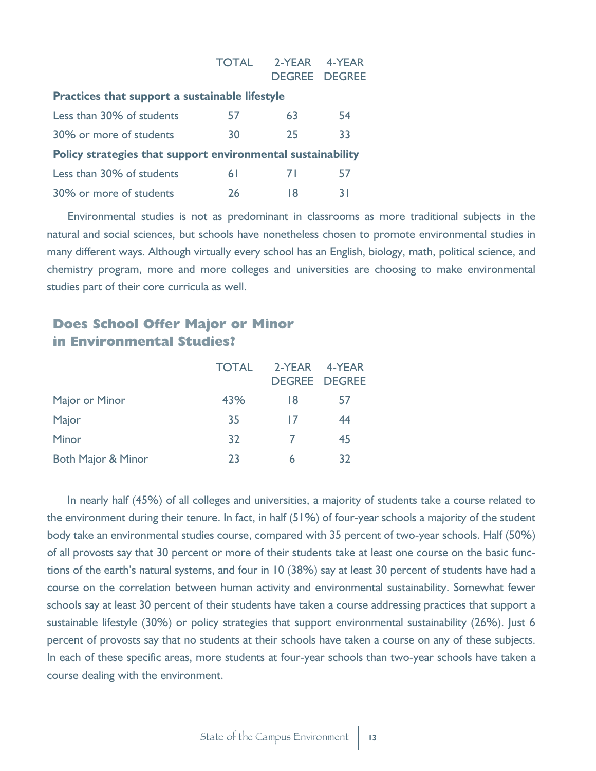|                                                             | <b>TOTAL</b> | 2-YEAR | 4-YFAR<br><b>DEGREE DEGREE</b> |
|-------------------------------------------------------------|--------------|--------|--------------------------------|
| Practices that support a sustainable lifestyle              |              |        |                                |
| Less than 30% of students                                   | 57           | 63     | 54                             |
| 30% or more of students                                     | 30           | 25     | 33                             |
| Policy strategies that support environmental sustainability |              |        |                                |
| Less than 30% of students                                   | 6 I          | 71     | 57                             |
| 30% or more of students                                     | 26           | 18     | 31                             |

Environmental studies is not as predominant in classrooms as more traditional subjects in the natural and social sciences, but schools have nonetheless chosen to promote environmental studies in many different ways. Although virtually every school has an English, biology, math, political science, and chemistry program, more and more colleges and universities are choosing to make environmental studies part of their core curricula as well.

#### **Does School Offer Major or Minor in Environmental Studies?**

|                               | <b>TOTAL</b> | 2-YEAR 4-YEAR |                      |
|-------------------------------|--------------|---------------|----------------------|
|                               |              |               | <b>DEGREE DEGREE</b> |
| Major or Minor                | 43%          | 18            | 5/                   |
| Major                         | 35           | $\mathsf{L}$  | 44                   |
| Minor                         | 32           |               | 45                   |
| <b>Both Major &amp; Minor</b> | 23           | 6             | 32                   |

In nearly half (45%) of all colleges and universities, a majority of students take a course related to the environment during their tenure. In fact, in half (51%) of four-year schools a majority of the student body take an environmental studies course, compared with 35 percent of two-year schools. Half (50%) of all provosts say that 30 percent or more of their students take at least one course on the basic functions of the earth's natural systems, and four in 10 (38%) say at least 30 percent of students have had a course on the correlation between human activity and environmental sustainability. Somewhat fewer schools say at least 30 percent of their students have taken a course addressing practices that support a sustainable lifestyle (30%) or policy strategies that support environmental sustainability (26%). Just 6 percent of provosts say that no students at their schools have taken a course on any of these subjects. In each of these specific areas, more students at four-year schools than two-year schools have taken a course dealing with the environment.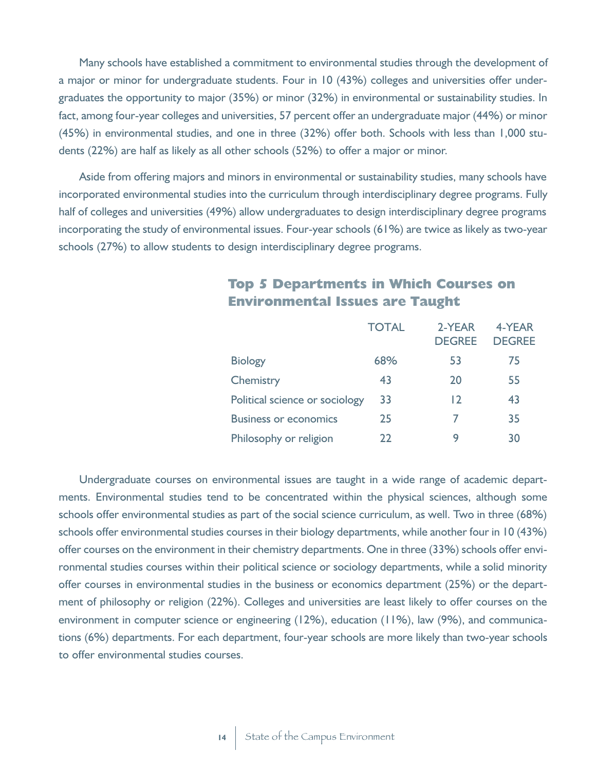Many schools have established a commitment to environmental studies through the development of a major or minor for undergraduate students. Four in 10 (43%) colleges and universities offer undergraduates the opportunity to major (35%) or minor (32%) in environmental or sustainability studies. In fact, among four-year colleges and universities, 57 percent offer an undergraduate major (44%) or minor (45%) in environmental studies, and one in three (32%) offer both. Schools with less than 1,000 students (22%) are half as likely as all other schools (52%) to offer a major or minor.

Aside from offering majors and minors in environmental or sustainability studies, many schools have incorporated environmental studies into the curriculum through interdisciplinary degree programs. Fully half of colleges and universities (49%) allow undergraduates to design interdisciplinary degree programs incorporating the study of environmental issues. Four-year schools (61%) are twice as likely as two-year schools (27%) to allow students to design interdisciplinary degree programs.

|                                | <b>TOTAL</b> | 2-YEAR<br><b>DEGREE</b> | 4-YEAR<br><b>DEGREE</b> |
|--------------------------------|--------------|-------------------------|-------------------------|
| <b>Biology</b>                 | 68%          | 53                      | 75                      |
| Chemistry                      | 43           | 20                      | 55                      |
| Political science or sociology | 33           | 12                      | 43                      |
| <b>Business or economics</b>   | 25           | 7                       | 35                      |
| Philosophy or religion         | 22           | 9                       | 30                      |

#### **Top 5 Departments in Which Courses on Environmental Issues are Taught**

Undergraduate courses on environmental issues are taught in a wide range of academic departments. Environmental studies tend to be concentrated within the physical sciences, although some schools offer environmental studies as part of the social science curriculum, as well. Two in three (68%) schools offer environmental studies courses in their biology departments, while another four in 10 (43%) offer courses on the environment in their chemistry departments. One in three (33%) schools offer environmental studies courses within their political science or sociology departments, while a solid minority offer courses in environmental studies in the business or economics department (25%) or the department of philosophy or religion (22%). Colleges and universities are least likely to offer courses on the environment in computer science or engineering (12%), education (11%), law (9%), and communications (6%) departments. For each department, four-year schools are more likely than two-year schools to offer environmental studies courses.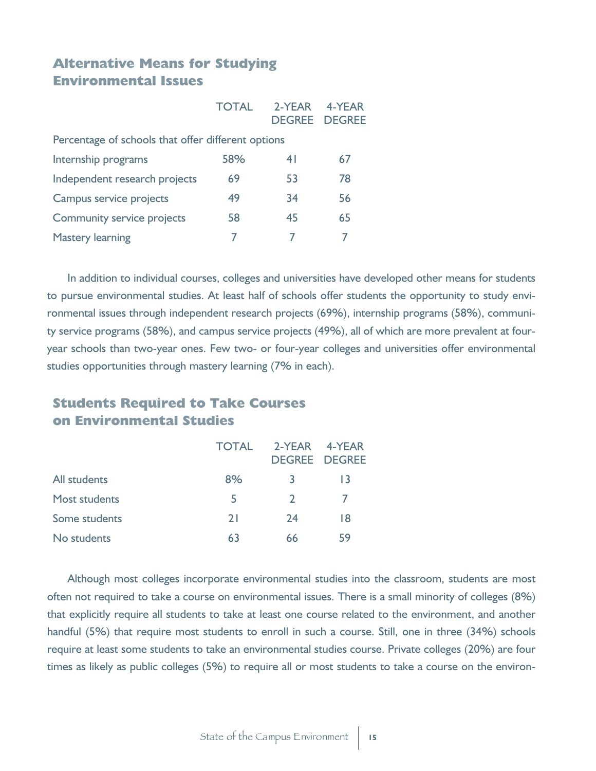#### **Alternative Means for Studying Environmental Issues**

|                                                    | <b>TOTAL</b> | 2-YEAR | 4-YFAR<br><b>DEGREE DEGREE</b> |
|----------------------------------------------------|--------------|--------|--------------------------------|
| Percentage of schools that offer different options |              |        |                                |
| Internship programs                                | 58%          | 41     | 67                             |
| Independent research projects                      | 69           | 53     | 78                             |
| Campus service projects                            | 49           | 34     | 56                             |
| <b>Community service projects</b>                  | 58           | 45     | 65                             |
| <b>Mastery learning</b>                            |              |        |                                |

In addition to individual courses, colleges and universities have developed other means for students to pursue environmental studies. At least half of schools offer students the opportunity to study environmental issues through independent research projects (69%), internship programs (58%), community service programs (58%), and campus service projects (49%), all of which are more prevalent at fouryear schools than two-year ones. Few two- or four-year colleges and universities offer environmental studies opportunities through mastery learning (7% in each).

#### **Students Required to Take Courses on Environmental Studies**

|                      | <b>TOTAL</b> |               | 2-YEAR 4-YEAR<br><b>DEGREE DEGREE</b> |
|----------------------|--------------|---------------|---------------------------------------|
| All students         | 8%           | 3             | 13                                    |
| <b>Most students</b> | 5            | $\mathcal{L}$ |                                       |
| Some students        | 21           | 74            | 18                                    |
| No students          | 63           | 66            | 59                                    |

Although most colleges incorporate environmental studies into the classroom, students are most often not required to take a course on environmental issues. There is a small minority of colleges (8%) that explicitly require all students to take at least one course related to the environment, and another handful (5%) that require most students to enroll in such a course. Still, one in three (34%) schools require at least some students to take an environmental studies course. Private colleges (20%) are four times as likely as public colleges (5%) to require all or most students to take a course on the environ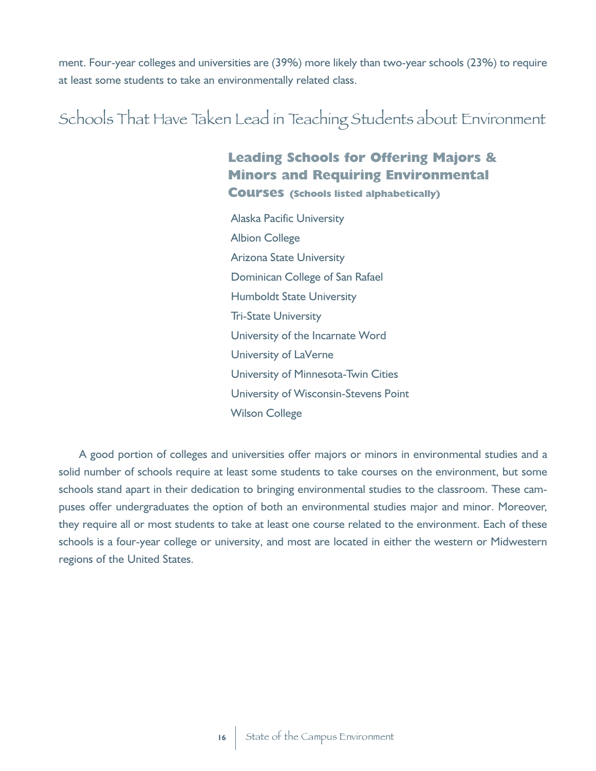ment. Four-year colleges and universities are (39%) more likely than two-year schools (23%) to require at least some students to take an environmentally related class.

## Schools That Have Taken Lead in Teaching Students about Environment

#### **Leading Schools for Offering Majors & Minors and Requiring Environmental Courses (Schools listed alphabetically)**

Alaska Pacific University Albion College Arizona State University Dominican College of San Rafael Humboldt State University Tri-State University University of the Incarnate Word University of LaVerne University of Minnesota-Twin Cities University of Wisconsin-Stevens Point Wilson College

A good portion of colleges and universities offer majors or minors in environmental studies and a solid number of schools require at least some students to take courses on the environment, but some schools stand apart in their dedication to bringing environmental studies to the classroom. These campuses offer undergraduates the option of both an environmental studies major and minor. Moreover, they require all or most students to take at least one course related to the environment. Each of these schools is a four-year college or university, and most are located in either the western or Midwestern regions of the United States.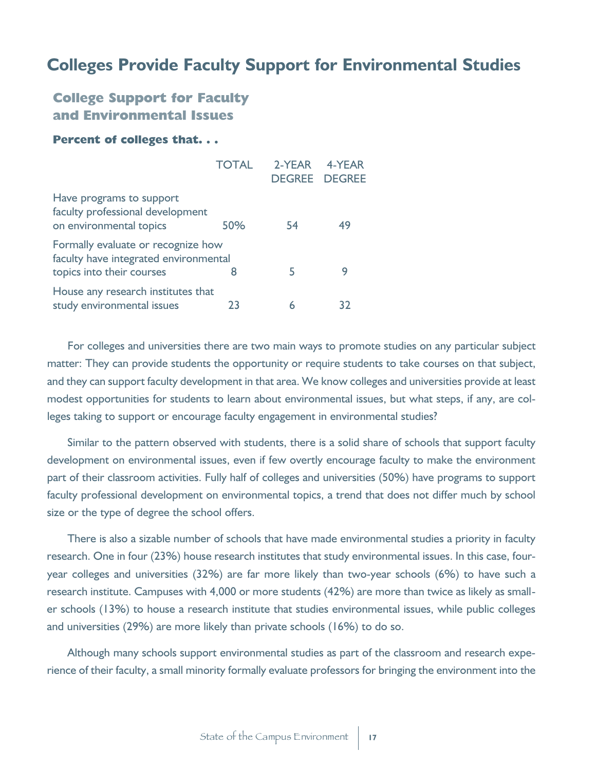## **Colleges Provide Faculty Support for Environmental Studies**

#### **College Support for Faculty and Environmental Issues**

#### **Percent of colleges that. . .**

|                                                                                                          | <b>TOTAL</b> | 2-YEAR | 4-YEAR<br><b>DEGREE DEGREE</b> |
|----------------------------------------------------------------------------------------------------------|--------------|--------|--------------------------------|
| Have programs to support<br>faculty professional development<br>on environmental topics                  | 50%          | 54     | 49                             |
| Formally evaluate or recognize how<br>faculty have integrated environmental<br>topics into their courses |              | 5      | g                              |
| House any research institutes that<br>study environmental issues                                         | 23           |        | 37                             |

For colleges and universities there are two main ways to promote studies on any particular subject matter: They can provide students the opportunity or require students to take courses on that subject, and they can support faculty development in that area. We know colleges and universities provide at least modest opportunities for students to learn about environmental issues, but what steps, if any, are colleges taking to support or encourage faculty engagement in environmental studies?

Similar to the pattern observed with students, there is a solid share of schools that support faculty development on environmental issues, even if few overtly encourage faculty to make the environment part of their classroom activities. Fully half of colleges and universities (50%) have programs to support faculty professional development on environmental topics, a trend that does not differ much by school size or the type of degree the school offers.

There is also a sizable number of schools that have made environmental studies a priority in faculty research. One in four (23%) house research institutes that study environmental issues. In this case, fouryear colleges and universities (32%) are far more likely than two-year schools (6%) to have such a research institute. Campuses with 4,000 or more students (42%) are more than twice as likely as smaller schools (13%) to house a research institute that studies environmental issues, while public colleges and universities (29%) are more likely than private schools (16%) to do so.

Although many schools support environmental studies as part of the classroom and research experience of their faculty, a small minority formally evaluate professors for bringing the environment into the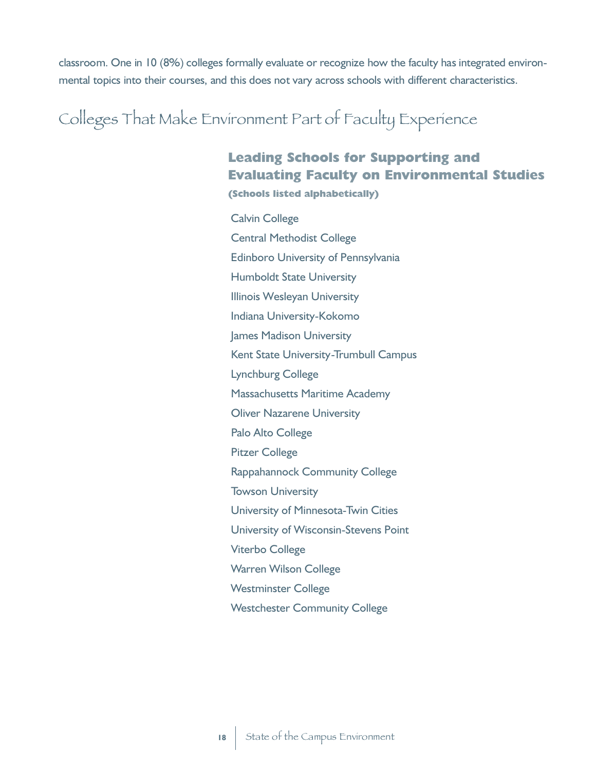classroom. One in 10 (8%) colleges formally evaluate or recognize how the faculty has integrated environmental topics into their courses, and this does not vary across schools with different characteristics.

Colleges That Make Environment Part of Faculty Experience

## **Leading Schools for Supporting and Evaluating Faculty on Environmental Studies**

**(Schools listed alphabetically)**

Calvin College Central Methodist College Edinboro University of Pennsylvania Humboldt State University Illinois Wesleyan University Indiana University-Kokomo James Madison University Kent State University-Trumbull Campus Lynchburg College Massachusetts Maritime Academy Oliver Nazarene University Palo Alto College Pitzer College Rappahannock Community College Towson University University of Minnesota-Twin Cities University of Wisconsin-Stevens Point Viterbo College Warren Wilson College Westminster College Westchester Community College